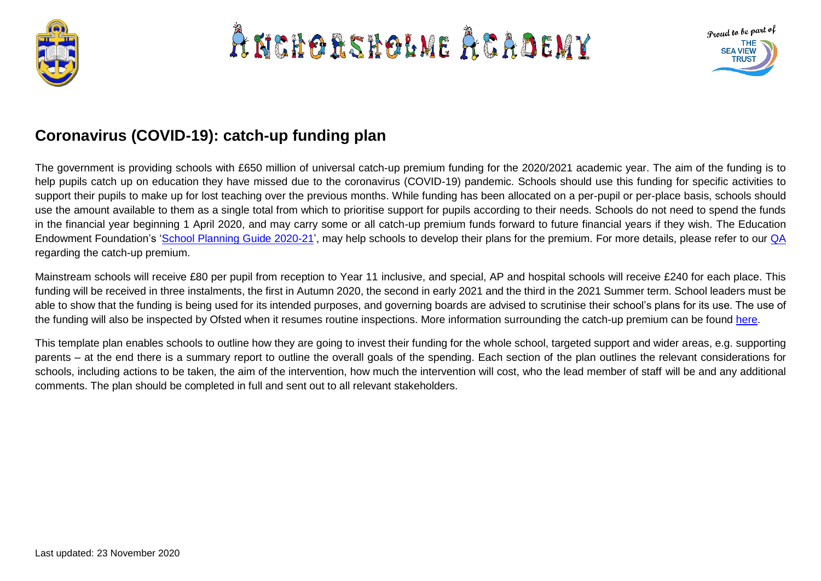

# A NCHORSHOLME ACADEMY



# **Coronavirus (COVID-19): catch-up funding plan**

The government is providing schools with £650 million of universal catch-up premium funding for the 2020/2021 academic year. The aim of the funding is to help pupils catch up on education they have missed due to the coronavirus (COVID-19) pandemic. Schools should use this funding for specific activities to support their pupils to make up for lost teaching over the previous months. While funding has been allocated on a per-pupil or per-place basis, schools should use the amount available to them as a single total from which to prioritise support for pupils according to their needs. Schools do not need to spend the funds in the financial year beginning 1 April 2020, and may carry some or all catch-up premium funds forward to future financial years if they wish. The Education Endowment Foundation's ['School Planning Guide 2020-21'](https://educationendowmentfoundation.org.uk/covid-19-resources/guide-to-supporting-schools-planning/), may help schools to develop their plans for the premium. For more details, please refer to our [QA](https://www.theschoolbus.net/article/coronavirus-covid19-how-does-the-catchup-package-work/7857) regarding the catch-up premium.

Mainstream schools will receive £80 per pupil from reception to Year 11 inclusive, and special, AP and hospital schools will receive £240 for each place. This funding will be received in three instalments, the first in Autumn 2020, the second in early 2021 and the third in the 2021 Summer term. School leaders must be able to show that the funding is being used for its intended purposes, and governing boards are advised to scrutinise their school's plans for its use. The use of the funding will also be inspected by Ofsted when it resumes routine inspections. More information surrounding the catch-up premium can be found [here.](https://www.gov.uk/government/publications/catch-up-premium-coronavirus-covid-19/catch-up-premium)

This template plan enables schools to outline how they are going to invest their funding for the whole school, targeted support and wider areas, e.g. supporting parents – at the end there is a summary report to outline the overall goals of the spending. Each section of the plan outlines the relevant considerations for schools, including actions to be taken, the aim of the intervention, how much the intervention will cost, who the lead member of staff will be and any additional comments. The plan should be completed in full and sent out to all relevant stakeholders.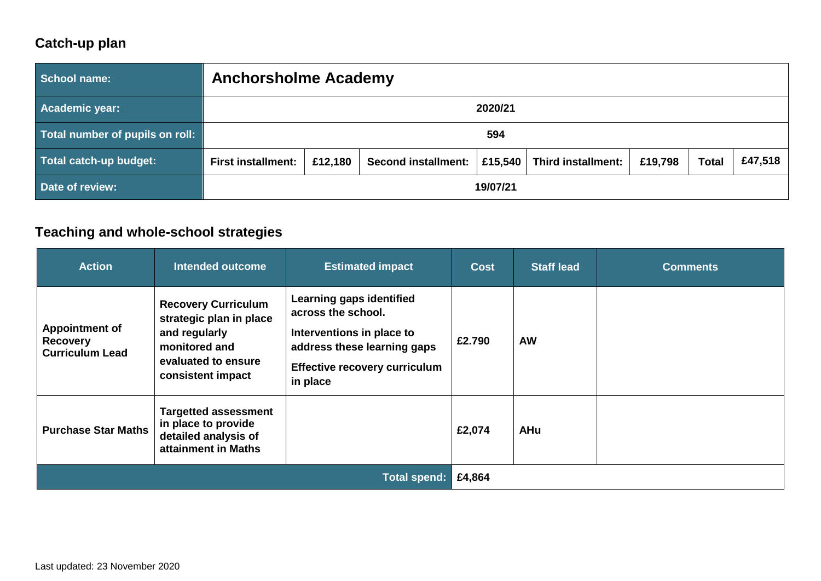### **Catch-up plan**

| School name:                    | <b>Anchorsholme Academy</b> |         |                            |         |                           |         |              |         |
|---------------------------------|-----------------------------|---------|----------------------------|---------|---------------------------|---------|--------------|---------|
| Academic year:                  | 2020/21                     |         |                            |         |                           |         |              |         |
| Total number of pupils on roll: | 594                         |         |                            |         |                           |         |              |         |
| Total catch-up budget:          | <b>First installment:</b>   | £12,180 | <b>Second installment:</b> | £15,540 | <b>Third installment:</b> | £19,798 | <b>Total</b> | £47,518 |
| Date of review:                 | 19/07/21                    |         |                            |         |                           |         |              |         |

#### **Teaching and whole-school strategies**

| <b>Action</b>                                                      | <b>Intended outcome</b>                                                                                                             | <b>Estimated impact</b>                                                                                                                                        | <b>Cost</b> | <b>Staff lead</b> | <b>Comments</b> |
|--------------------------------------------------------------------|-------------------------------------------------------------------------------------------------------------------------------------|----------------------------------------------------------------------------------------------------------------------------------------------------------------|-------------|-------------------|-----------------|
| <b>Appointment of</b><br><b>Recovery</b><br><b>Curriculum Lead</b> | <b>Recovery Curriculum</b><br>strategic plan in place<br>and regularly<br>monitored and<br>evaluated to ensure<br>consistent impact | Learning gaps identified<br>across the school.<br>Interventions in place to<br>address these learning gaps<br><b>Effective recovery curriculum</b><br>in place | £2.790      | <b>AW</b>         |                 |
| <b>Purchase Star Maths</b>                                         | <b>Targetted assessment</b><br>in place to provide<br>detailed analysis of<br>attainment in Maths                                   |                                                                                                                                                                | £2,074      | <b>AHu</b>        |                 |
|                                                                    |                                                                                                                                     | <b>Total spend:</b>                                                                                                                                            | £4,864      |                   |                 |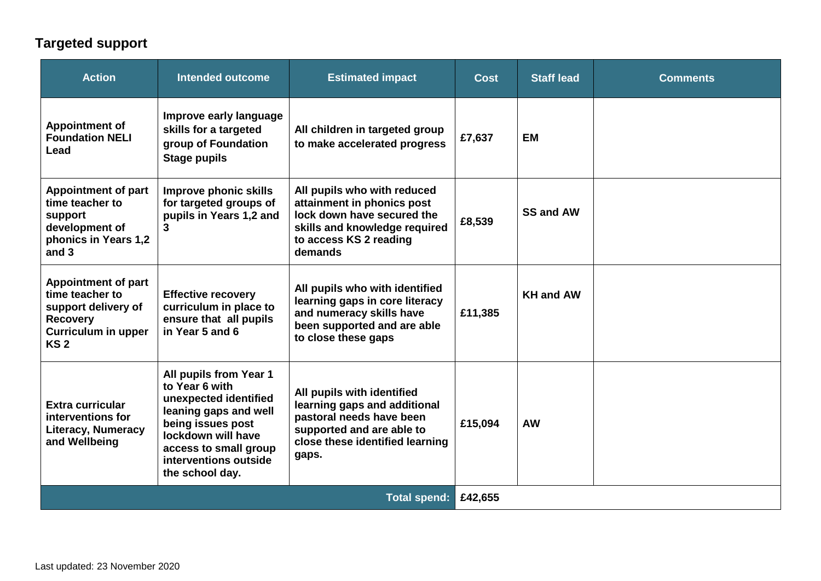# **Targeted support**

| <b>Action</b>                                                                                                                            | <b>Intended outcome</b>                                                                                                                                                                                    | <b>Estimated impact</b>                                                                                                                                         | <b>Cost</b> | <b>Staff lead</b> | <b>Comments</b> |
|------------------------------------------------------------------------------------------------------------------------------------------|------------------------------------------------------------------------------------------------------------------------------------------------------------------------------------------------------------|-----------------------------------------------------------------------------------------------------------------------------------------------------------------|-------------|-------------------|-----------------|
| <b>Appointment of</b><br><b>Foundation NELI</b><br>Lead                                                                                  | Improve early language<br>skills for a targeted<br>group of Foundation<br><b>Stage pupils</b>                                                                                                              | All children in targeted group<br>to make accelerated progress                                                                                                  | £7,637      | <b>EM</b>         |                 |
| <b>Appointment of part</b><br>time teacher to<br>support<br>development of<br>phonics in Years 1,2<br>and 3                              | Improve phonic skills<br>for targeted groups of<br>pupils in Years 1,2 and<br>3                                                                                                                            | All pupils who with reduced<br>attainment in phonics post<br>lock down have secured the<br>skills and knowledge required<br>to access KS 2 reading<br>demands   | £8,539      | <b>SS and AW</b>  |                 |
| <b>Appointment of part</b><br>time teacher to<br>support delivery of<br><b>Recovery</b><br><b>Curriculum in upper</b><br>KS <sub>2</sub> | <b>Effective recovery</b><br>curriculum in place to<br>ensure that all pupils<br>in Year 5 and 6                                                                                                           | All pupils who with identified<br>learning gaps in core literacy<br>and numeracy skills have<br>been supported and are able<br>to close these gaps              | £11,385     | <b>KH and AW</b>  |                 |
| <b>Extra curricular</b><br>interventions for<br><b>Literacy, Numeracy</b><br>and Wellbeing                                               | All pupils from Year 1<br>to Year 6 with<br>unexpected identified<br>leaning gaps and well<br>being issues post<br>lockdown will have<br>access to small group<br>interventions outside<br>the school day. | All pupils with identified<br>learning gaps and additional<br>pastoral needs have been<br>supported and are able to<br>close these identified learning<br>gaps. | £15,094     | <b>AW</b>         |                 |
| <b>Total spend:</b>                                                                                                                      |                                                                                                                                                                                                            |                                                                                                                                                                 | £42,655     |                   |                 |